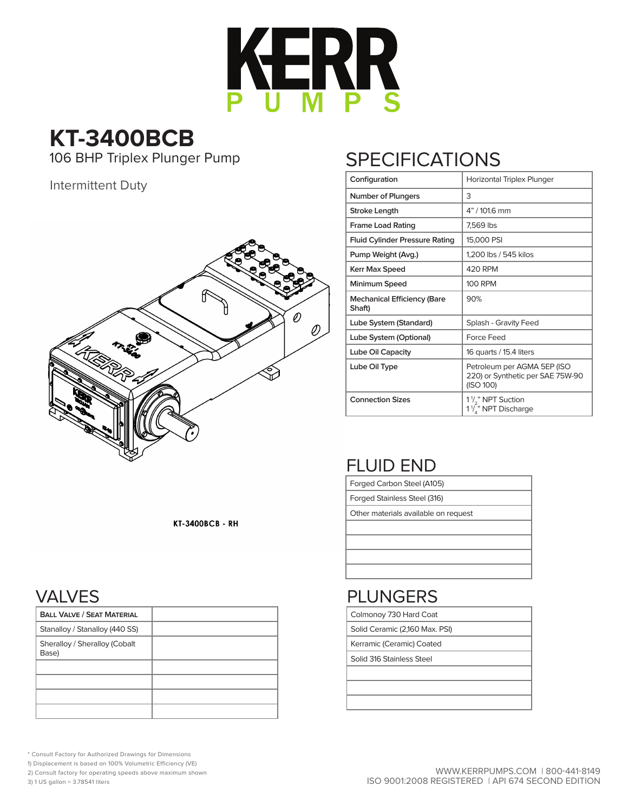

# **KT-3400BCB**

106 BHP Triplex Plunger Pump

#### Intermittent Duty



## **SPECIFICATIONS**

| Configuration                                | Horizontal Triplex Plunger                                                      |
|----------------------------------------------|---------------------------------------------------------------------------------|
| <b>Number of Plungers</b>                    | 3                                                                               |
| Stroke Length                                | 4" / 101.6 mm                                                                   |
| <b>Frame Load Rating</b>                     | 7,569 lbs                                                                       |
| <b>Fluid Cylinder Pressure Rating</b>        | 15,000 PSI                                                                      |
| Pump Weight (Avg.)                           | 1,200 lbs / 545 kilos                                                           |
| Kerr Max Speed                               | 420 RPM                                                                         |
| Minimum Speed                                | <b>100 RPM</b>                                                                  |
| <b>Mechanical Efficiency (Bare</b><br>Shaft) | 90%                                                                             |
| Lube System (Standard)                       | Splash - Gravity Feed                                                           |
| Lube System (Optional)                       | Force Feed                                                                      |
| Lube Oil Capacity                            | 16 quarts / 15.4 liters                                                         |
| Lube Oil Type                                | Petroleum per AGMA 5EP (ISO<br>220) or Synthetic per SAE 75W-90<br>(ISO 100)    |
| <b>Connection Sizes</b>                      | 1 <sup>1</sup> / <sub>2</sub> " NPT Suction<br>1 <sup>1</sup> /," NPT Discharge |

### FLUID END

Forged Carbon Steel (A105)

Forged Stainless Steel (316)

Other materials available on request

### PLUNGERS

Colmonoy 730 Hard Coat

Solid Ceramic (2,160 Max. PSI)

Kerramic (Ceramic) Coated

Solid 316 Stainless Steel

#### **KT-3400BCB - RH**

### VALVES

| <b>BALL VALVE / SEAT MATERIAL</b>      |  |
|----------------------------------------|--|
| Stanalloy / Stanalloy (440 SS)         |  |
| Sheralloy / Sheralloy (Cobalt<br>Base) |  |
|                                        |  |
|                                        |  |
|                                        |  |
|                                        |  |

\* Consult Factory for Authorized Drawings for Dimensions

1) Displacement is based on 100% Volumetric Efficiency (VE)

2) Consult factory for operating speeds above maximum shown

3) 1 US gallon = 3.78541 liters